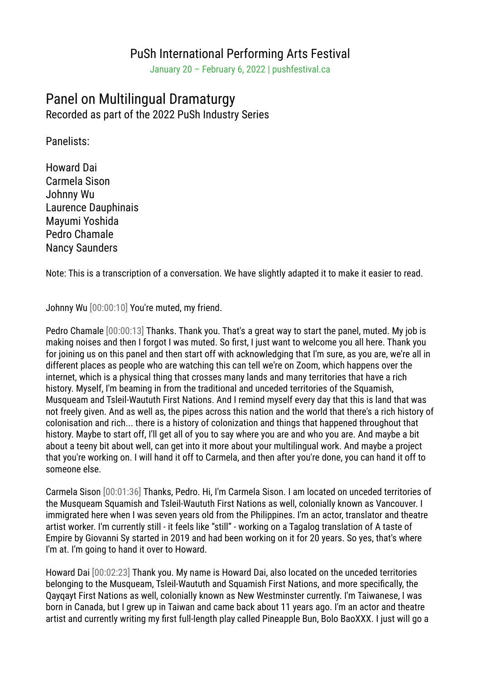## PuSh International Performing Arts Festival

January 20 – February 6, 2022 | pushfestival.ca

## Panel on Multilingual Dramaturgy

Recorded as part of the 2022 PuSh Industry Series

Panelists:

Howard Dai Carmela Sison Johnny Wu Laurence Dauphinais Mayumi Yoshida Pedro Chamale Nancy Saunders

Note: This is a transcription of a conversation. We have slightly adapted it to make it easier to read.

Johnny Wu [00:00:10] You're muted, my friend.

Pedro Chamale [00:00:13] Thanks. Thank you. That's a great way to start the panel, muted. My job is making noises and then I forgot I was muted. So first, I just want to welcome you all here. Thank you for joining us on this panel and then start off with acknowledging that I'm sure, as you are, we're all in different places as people who are watching this can tell we're on Zoom, which happens over the internet, which is a physical thing that crosses many lands and many territories that have a rich history. Myself, I'm beaming in from the traditional and unceded territories of the Squamish, Musqueam and Tsleil-Waututh First Nations. And I remind myself every day that this is land that was not freely given. And as well as, the pipes across this nation and the world that there's a rich history of colonisation and rich... there is a history of colonization and things that happened throughout that history. Maybe to start off, I'll get all of you to say where you are and who you are. And maybe a bit about a teeny bit about well, can get into it more about your multilingual work. And maybe a project that you're working on. I will hand it off to Carmela, and then after you're done, you can hand it off to someone else.

Carmela Sison [00:01:36] Thanks, Pedro. Hi, I'm Carmela Sison. I am located on unceded territories of the Musqueam Squamish and Tsleil-Waututh First Nations as well, colonially known as Vancouver. I immigrated here when I was seven years old from the Philippines. I'm an actor, translator and theatre artist worker. I'm currently still - it feels like "still" - working on a Tagalog translation of A taste of Empire by Giovanni Sy started in 2019 and had been working on it for 20 years. So yes, that's where I'm at. I'm going to hand it over to Howard.

Howard Dai [00:02:23] Thank you. My name is Howard Dai, also located on the unceded territories belonging to the Musqueam, Tsleil-Waututh and Squamish First Nations, and more specifically, the Qayqayt First Nations as well, colonially known as New Westminster currently. I'm Taiwanese, I was born in Canada, but I grew up in Taiwan and came back about 11 years ago. I'm an actor and theatre artist and currently writing my first full-length play called Pineapple Bun, Bolo BaoXXX. I just will go a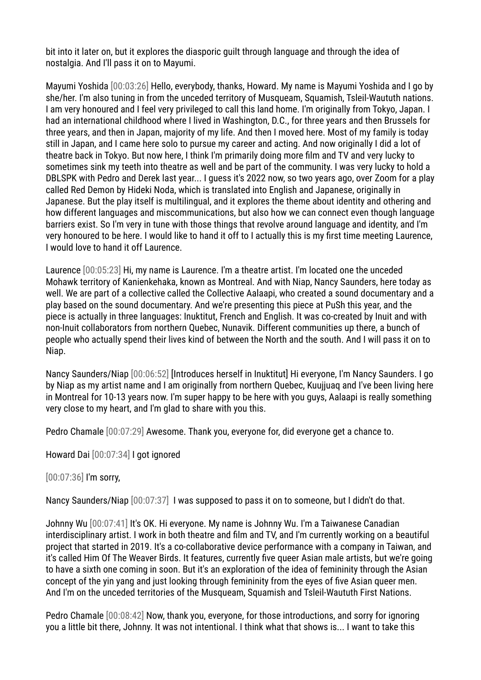bit into it later on, but it explores the diasporic guilt through language and through the idea of nostalgia. And I'll pass it on to Mayumi.

Mayumi Yoshida [00:03:26] Hello, everybody, thanks, Howard. My name is Mayumi Yoshida and I go by she/her. I'm also tuning in from the unceded territory of Musqueam, Squamish, Tsleil-Waututh nations. I am very honoured and I feel very privileged to call this land home. I'm originally from Tokyo, Japan. I had an international childhood where I lived in Washington, D.C., for three years and then Brussels for three years, and then in Japan, majority of my life. And then I moved here. Most of my family is today still in Japan, and I came here solo to pursue my career and acting. And now originally I did a lot of theatre back in Tokyo. But now here, I think I'm primarily doing more film and TV and very lucky to sometimes sink my teeth into theatre as well and be part of the community. I was very lucky to hold a DBLSPK with Pedro and Derek last year... I guess it's 2022 now, so two years ago, over Zoom for a play called Red Demon by Hideki Noda, which is translated into English and Japanese, originally in Japanese. But the play itself is multilingual, and it explores the theme about identity and othering and how different languages and miscommunications, but also how we can connect even though language barriers exist. So I'm very in tune with those things that revolve around language and identity, and I'm very honoured to be here. I would like to hand it off to I actually this is my first time meeting Laurence, I would love to hand it off Laurence.

Laurence [00:05:23] Hi, my name is Laurence. I'm a theatre artist. I'm located one the unceded Mohawk territory of Kanienkehaka, known as Montreal. And with Niap, Nancy Saunders, here today as well. We are part of a collective called the Collective Aalaapi, who created a sound documentary and a play based on the sound documentary. And we're presenting this piece at PuSh this year, and the piece is actually in three languages: Inuktitut, French and English. It was co-created by Inuit and with non-Inuit collaborators from northern Quebec, Nunavik. Different communities up there, a bunch of people who actually spend their lives kind of between the North and the south. And I will pass it on to Niap.

Nancy Saunders/Niap [00:06:52] [Introduces herself in Inuktitut] Hi everyone, I'm Nancy Saunders. I go by Niap as my artist name and I am originally from northern Quebec, Kuujjuaq and I've been living here in Montreal for 10-13 years now. I'm super happy to be here with you guys, Aalaapi is really something very close to my heart, and I'm glad to share with you this.

Pedro Chamale [00:07:29] Awesome. Thank you, everyone for, did everyone get a chance to.

Howard Dai [00:07:34] I got ignored

## [00:07:36] I'm sorry,

Nancy Saunders/Niap [00:07:37] I was supposed to pass it on to someone, but I didn't do that.

Johnny Wu [00:07:41] It's OK. Hi everyone. My name is Johnny Wu. I'm a Taiwanese Canadian interdisciplinary artist. I work in both theatre and film and TV, and I'm currently working on a beautiful project that started in 2019. It's a co-collaborative device performance with a company in Taiwan, and it's called Him Of The Weaver Birds. It features, currently five queer Asian male artists, but we're going to have a sixth one coming in soon. But it's an exploration of the idea of femininity through the Asian concept of the yin yang and just looking through femininity from the eyes of five Asian queer men. And I'm on the unceded territories of the Musqueam, Squamish and Tsleil-Waututh First Nations.

Pedro Chamale [00:08:42] Now, thank you, everyone, for those introductions, and sorry for ignoring you a little bit there, Johnny. It was not intentional. I think what that shows is... I want to take this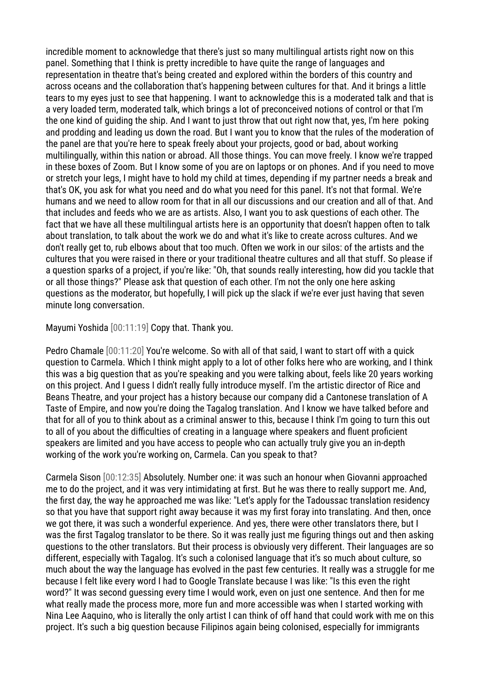incredible moment to acknowledge that there's just so many multilingual artists right now on this panel. Something that I think is pretty incredible to have quite the range of languages and representation in theatre that's being created and explored within the borders of this country and across oceans and the collaboration that's happening between cultures for that. And it brings a little tears to my eyes just to see that happening. I want to acknowledge this is a moderated talk and that is a very loaded term, moderated talk, which brings a lot of preconceived notions of control or that I'm the one kind of guiding the ship. And I want to just throw that out right now that, yes, I'm here poking and prodding and leading us down the road. But I want you to know that the rules of the moderation of the panel are that you're here to speak freely about your projects, good or bad, about working multilingually, within this nation or abroad. All those things. You can move freely. I know we're trapped in these boxes of Zoom. But I know some of you are on laptops or on phones. And if you need to move or stretch your legs, I might have to hold my child at times, depending if my partner needs a break and that's OK, you ask for what you need and do what you need for this panel. It's not that formal. We're humans and we need to allow room for that in all our discussions and our creation and all of that. And that includes and feeds who we are as artists. Also, I want you to ask questions of each other. The fact that we have all these multilingual artists here is an opportunity that doesn't happen often to talk about translation, to talk about the work we do and what it's like to create across cultures. And we don't really get to, rub elbows about that too much. Often we work in our silos: of the artists and the cultures that you were raised in there or your traditional theatre cultures and all that stuff. So please if a question sparks of a project, if you're like: "Oh, that sounds really interesting, how did you tackle that or all those things?" Please ask that question of each other. I'm not the only one here asking questions as the moderator, but hopefully, I will pick up the slack if we're ever just having that seven minute long conversation.

Mayumi Yoshida [00:11:19] Copy that. Thank you.

Pedro Chamale [00:11:20] You're welcome. So with all of that said, I want to start off with a quick question to Carmela. Which I think might apply to a lot of other folks here who are working, and I think this was a big question that as you're speaking and you were talking about, feels like 20 years working on this project. And I guess I didn't really fully introduce myself. I'm the artistic director of Rice and Beans Theatre, and your project has a history because our company did a Cantonese translation of A Taste of Empire, and now you're doing the Tagalog translation. And I know we have talked before and that for all of you to think about as a criminal answer to this, because I think I'm going to turn this out to all of you about the difficulties of creating in a language where speakers and fluent proficient speakers are limited and you have access to people who can actually truly give you an in-depth working of the work you're working on, Carmela. Can you speak to that?

Carmela Sison [00:12:35] Absolutely. Number one: it was such an honour when Giovanni approached me to do the project, and it was very intimidating at first. But he was there to really support me. And, the first day, the way he approached me was like: "Let's apply for the Tadoussac translation residency so that you have that support right away because it was my first foray into translating. And then, once we got there, it was such a wonderful experience. And yes, there were other translators there, but I was the first Tagalog translator to be there. So it was really just me figuring things out and then asking questions to the other translators. But their process is obviously very different. Their languages are so different, especially with Tagalog. It's such a colonised language that it's so much about culture, so much about the way the language has evolved in the past few centuries. It really was a struggle for me because I felt like every word I had to Google Translate because I was like: "Is this even the right word?" It was second guessing every time I would work, even on just one sentence. And then for me what really made the process more, more fun and more accessible was when I started working with Nina Lee Aaquino, who is literally the only artist I can think of off hand that could work with me on this project. It's such a big question because Filipinos again being colonised, especially for immigrants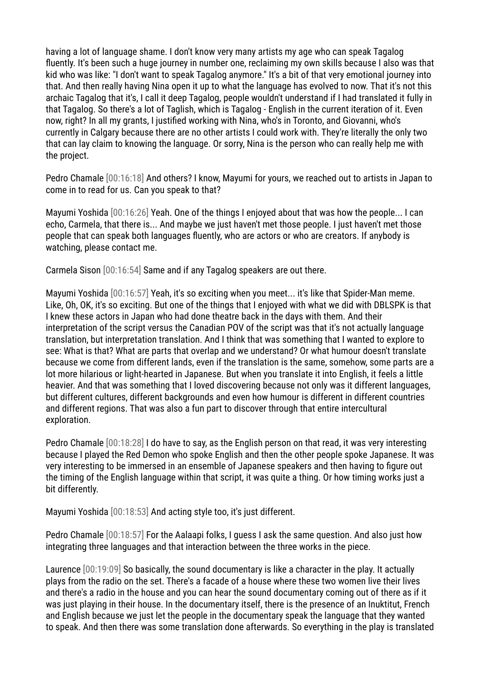having a lot of language shame. I don't know very many artists my age who can speak Tagalog fluently. It's been such a huge journey in number one, reclaiming my own skills because I also was that kid who was like: "I don't want to speak Tagalog anymore." It's a bit of that very emotional journey into that. And then really having Nina open it up to what the language has evolved to now. That it's not this archaic Tagalog that it's, I call it deep Tagalog, people wouldn't understand if I had translated it fully in that Tagalog. So there's a lot of Taglish, which is Tagalog - English in the current iteration of it. Even now, right? In all my grants, I justified working with Nina, who's in Toronto, and Giovanni, who's currently in Calgary because there are no other artists I could work with. They're literally the only two that can lay claim to knowing the language. Or sorry, Nina is the person who can really help me with the project.

Pedro Chamale [00:16:18] And others? I know, Mayumi for yours, we reached out to artists in Japan to come in to read for us. Can you speak to that?

Mayumi Yoshida [00:16:26] Yeah. One of the things I enjoyed about that was how the people... I can echo, Carmela, that there is... And maybe we just haven't met those people. I just haven't met those people that can speak both languages fluently, who are actors or who are creators. If anybody is watching, please contact me.

Carmela Sison [00:16:54] Same and if any Tagalog speakers are out there.

Mayumi Yoshida [00:16:57] Yeah, it's so exciting when you meet... it's like that Spider-Man meme. Like, Oh, OK, it's so exciting. But one of the things that I enjoyed with what we did with DBLSPK is that I knew these actors in Japan who had done theatre back in the days with them. And their interpretation of the script versus the Canadian POV of the script was that it's not actually language translation, but interpretation translation. And I think that was something that I wanted to explore to see: What is that? What are parts that overlap and we understand? Or what humour doesn't translate because we come from different lands, even if the translation is the same, somehow, some parts are a lot more hilarious or light-hearted in Japanese. But when you translate it into English, it feels a little heavier. And that was something that I loved discovering because not only was it different languages, but different cultures, different backgrounds and even how humour is different in different countries and different regions. That was also a fun part to discover through that entire intercultural exploration.

Pedro Chamale [00:18:28] I do have to say, as the English person on that read, it was very interesting because I played the Red Demon who spoke English and then the other people spoke Japanese. It was very interesting to be immersed in an ensemble of Japanese speakers and then having to figure out the timing of the English language within that script, it was quite a thing. Or how timing works just a bit differently.

Mayumi Yoshida [00:18:53] And acting style too, it's just different.

Pedro Chamale [00:18:57] For the Aalaapi folks, I guess I ask the same question. And also just how integrating three languages and that interaction between the three works in the piece.

Laurence [00:19:09] So basically, the sound documentary is like a character in the play. It actually plays from the radio on the set. There's a facade of a house where these two women live their lives and there's a radio in the house and you can hear the sound documentary coming out of there as if it was just playing in their house. In the documentary itself, there is the presence of an Inuktitut, French and English because we just let the people in the documentary speak the language that they wanted to speak. And then there was some translation done afterwards. So everything in the play is translated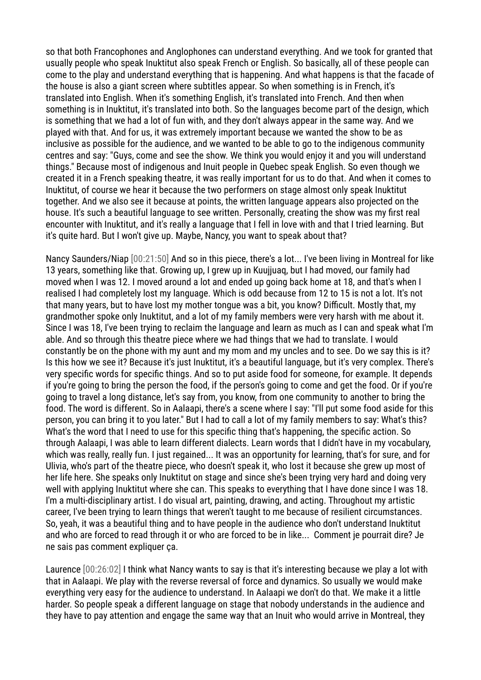so that both Francophones and Anglophones can understand everything. And we took for granted that usually people who speak Inuktitut also speak French or English. So basically, all of these people can come to the play and understand everything that is happening. And what happens is that the facade of the house is also a giant screen where subtitles appear. So when something is in French, it's translated into English. When it's something English, it's translated into French. And then when something is in Inuktitut, it's translated into both. So the languages become part of the design, which is something that we had a lot of fun with, and they don't always appear in the same way. And we played with that. And for us, it was extremely important because we wanted the show to be as inclusive as possible for the audience, and we wanted to be able to go to the indigenous community centres and say: "Guys, come and see the show. We think you would enjoy it and you will understand things." Because most of indigenous and Inuit people in Quebec speak English. So even though we created it in a French speaking theatre, it was really important for us to do that. And when it comes to Inuktitut, of course we hear it because the two performers on stage almost only speak Inuktitut together. And we also see it because at points, the written language appears also projected on the house. It's such a beautiful language to see written. Personally, creating the show was my first real encounter with Inuktitut, and it's really a language that I fell in love with and that I tried learning. But it's quite hard. But I won't give up. Maybe, Nancy, you want to speak about that?

Nancy Saunders/Niap [00:21:50] And so in this piece, there's a lot... I've been living in Montreal for like 13 years, something like that. Growing up, I grew up in Kuujjuaq, but I had moved, our family had moved when I was 12. I moved around a lot and ended up going back home at 18, and that's when I realised I had completely lost my language. Which is odd because from 12 to 15 is not a lot. It's not that many years, but to have lost my mother tongue was a bit, you know? Difficult. Mostly that, my grandmother spoke only Inuktitut, and a lot of my family members were very harsh with me about it. Since I was 18, I've been trying to reclaim the language and learn as much as I can and speak what I'm able. And so through this theatre piece where we had things that we had to translate. I would constantly be on the phone with my aunt and my mom and my uncles and to see. Do we say this is it? Is this how we see it? Because it's just Inuktitut, it's a beautiful language, but it's very complex. There's very specific words for specific things. And so to put aside food for someone, for example. It depends if you're going to bring the person the food, if the person's going to come and get the food. Or if you're going to travel a long distance, let's say from, you know, from one community to another to bring the food. The word is different. So in Aalaapi, there's a scene where I say: "I'll put some food aside for this person, you can bring it to you later." But I had to call a lot of my family members to say: What's this? What's the word that I need to use for this specific thing that's happening, the specific action. So through Aalaapi, I was able to learn different dialects. Learn words that I didn't have in my vocabulary, which was really, really fun. I just regained... It was an opportunity for learning, that's for sure, and for Ulivia, who's part of the theatre piece, who doesn't speak it, who lost it because she grew up most of her life here. She speaks only Inuktitut on stage and since she's been trying very hard and doing very well with applying Inuktitut where she can. This speaks to everything that I have done since I was 18. I'm a multi-disciplinary artist. I do visual art, painting, drawing, and acting. Throughout my artistic career, I've been trying to learn things that weren't taught to me because of resilient circumstances. So, yeah, it was a beautiful thing and to have people in the audience who don't understand Inuktitut and who are forced to read through it or who are forced to be in like... Comment je pourrait dire? Je ne sais pas comment expliquer ça.

Laurence [00:26:02] I think what Nancy wants to say is that it's interesting because we play a lot with that in Aalaapi. We play with the reverse reversal of force and dynamics. So usually we would make everything very easy for the audience to understand. In Aalaapi we don't do that. We make it a little harder. So people speak a different language on stage that nobody understands in the audience and they have to pay attention and engage the same way that an Inuit who would arrive in Montreal, they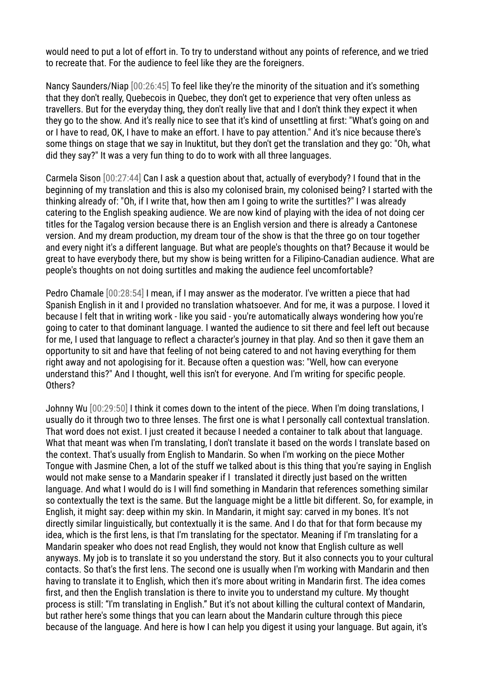would need to put a lot of effort in. To try to understand without any points of reference, and we tried to recreate that. For the audience to feel like they are the foreigners.

Nancy Saunders/Niap [00:26:45] To feel like they're the minority of the situation and it's something that they don't really, Quebecois in Quebec, they don't get to experience that very often unless as travellers. But for the everyday thing, they don't really live that and I don't think they expect it when they go to the show. And it's really nice to see that it's kind of unsettling at first: "What's going on and or I have to read, OK, I have to make an effort. I have to pay attention." And it's nice because there's some things on stage that we say in Inuktitut, but they don't get the translation and they go: "Oh, what did they say?" It was a very fun thing to do to work with all three languages.

Carmela Sison [00:27:44] Can I ask a question about that, actually of everybody? I found that in the beginning of my translation and this is also my colonised brain, my colonised being? I started with the thinking already of: "Oh, if I write that, how then am I going to write the surtitles?" I was already catering to the English speaking audience. We are now kind of playing with the idea of not doing cer titles for the Tagalog version because there is an English version and there is already a Cantonese version. And my dream production, my dream tour of the show is that the three go on tour together and every night it's a different language. But what are people's thoughts on that? Because it would be great to have everybody there, but my show is being written for a Filipino-Canadian audience. What are people's thoughts on not doing surtitles and making the audience feel uncomfortable?

Pedro Chamale [00:28:54] I mean, if I may answer as the moderator. I've written a piece that had Spanish English in it and I provided no translation whatsoever. And for me, it was a purpose. I loved it because I felt that in writing work - like you said - you're automatically always wondering how you're going to cater to that dominant language. I wanted the audience to sit there and feel left out because for me, I used that language to reflect a character's journey in that play. And so then it gave them an opportunity to sit and have that feeling of not being catered to and not having everything for them right away and not apologising for it. Because often a question was: "Well, how can everyone understand this?" And I thought, well this isn't for everyone. And I'm writing for specific people. Others?

Johnny Wu [00:29:50] I think it comes down to the intent of the piece. When I'm doing translations, I usually do it through two to three lenses. The first one is what I personally call contextual translation. That word does not exist. I just created it because I needed a container to talk about that language. What that meant was when I'm translating, I don't translate it based on the words I translate based on the context. That's usually from English to Mandarin. So when I'm working on the piece Mother Tongue with Jasmine Chen, a lot of the stuff we talked about is this thing that you're saying in English would not make sense to a Mandarin speaker if I translated it directly just based on the written language. And what I would do is I will find something in Mandarin that references something similar so contextually the text is the same. But the language might be a little bit different. So, for example, in English, it might say: deep within my skin. In Mandarin, it might say: carved in my bones. It's not directly similar linguistically, but contextually it is the same. And I do that for that form because my idea, which is the first lens, is that I'm translating for the spectator. Meaning if I'm translating for a Mandarin speaker who does not read English, they would not know that English culture as well anyways. My job is to translate it so you understand the story. But it also connects you to your cultural contacts. So that's the first lens. The second one is usually when I'm working with Mandarin and then having to translate it to English, which then it's more about writing in Mandarin first. The idea comes first, and then the English translation is there to invite you to understand my culture. My thought process is still: "I'm translating in English." But it's not about killing the cultural context of Mandarin, but rather here's some things that you can learn about the Mandarin culture through this piece because of the language. And here is how I can help you digest it using your language. But again, it's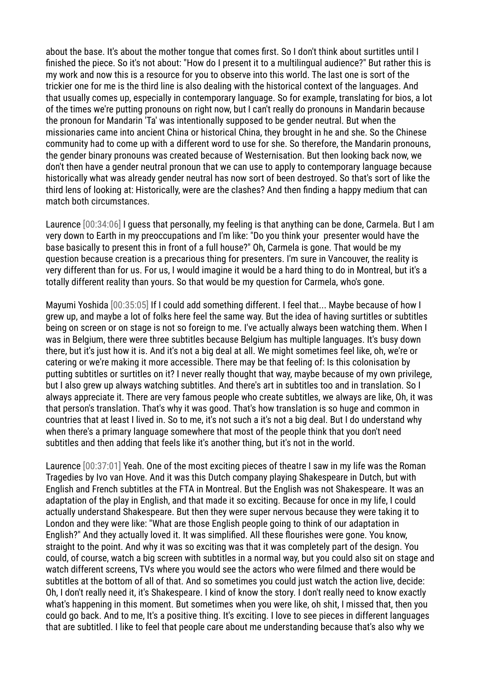about the base. It's about the mother tongue that comes first. So I don't think about surtitles until I finished the piece. So it's not about: "How do I present it to a multilingual audience?" But rather this is my work and now this is a resource for you to observe into this world. The last one is sort of the trickier one for me is the third line is also dealing with the historical context of the languages. And that usually comes up, especially in contemporary language. So for example, translating for bios, a lot of the times we're putting pronouns on right now, but I can't really do pronouns in Mandarin because the pronoun for Mandarin 'Ta' was intentionally supposed to be gender neutral. But when the missionaries came into ancient China or historical China, they brought in he and she. So the Chinese community had to come up with a different word to use for she. So therefore, the Mandarin pronouns, the gender binary pronouns was created because of Westernisation. But then looking back now, we don't then have a gender neutral pronoun that we can use to apply to contemporary language because historically what was already gender neutral has now sort of been destroyed. So that's sort of like the third lens of looking at: Historically, were are the clashes? And then finding a happy medium that can match both circumstances.

Laurence [00:34:06] I guess that personally, my feeling is that anything can be done, Carmela. But I am very down to Earth in my preoccupations and I'm like: "Do you think your presenter would have the base basically to present this in front of a full house?" Oh, Carmela is gone. That would be my question because creation is a precarious thing for presenters. I'm sure in Vancouver, the reality is very different than for us. For us, I would imagine it would be a hard thing to do in Montreal, but it's a totally different reality than yours. So that would be my question for Carmela, who's gone.

Mayumi Yoshida [00:35:05] If I could add something different. I feel that... Maybe because of how I grew up, and maybe a lot of folks here feel the same way. But the idea of having surtitles or subtitles being on screen or on stage is not so foreign to me. I've actually always been watching them. When I was in Belgium, there were three subtitles because Belgium has multiple languages. It's busy down there, but it's just how it is. And it's not a big deal at all. We might sometimes feel like, oh, we're or catering or we're making it more accessible. There may be that feeling of: Is this colonisation by putting subtitles or surtitles on it? I never really thought that way, maybe because of my own privilege, but I also grew up always watching subtitles. And there's art in subtitles too and in translation. So I always appreciate it. There are very famous people who create subtitles, we always are like, Oh, it was that person's translation. That's why it was good. That's how translation is so huge and common in countries that at least I lived in. So to me, it's not such a it's not a big deal. But I do understand why when there's a primary language somewhere that most of the people think that you don't need subtitles and then adding that feels like it's another thing, but it's not in the world.

Laurence [00:37:01] Yeah. One of the most exciting pieces of theatre I saw in my life was the Roman Tragedies by Ivo van Hove. And it was this Dutch company playing Shakespeare in Dutch, but with English and French subtitles at the FTA in Montreal. But the English was not Shakespeare. It was an adaptation of the play in English, and that made it so exciting. Because for once in my life, I could actually understand Shakespeare. But then they were super nervous because they were taking it to London and they were like: "What are those English people going to think of our adaptation in English?" And they actually loved it. It was simplified. All these flourishes were gone. You know, straight to the point. And why it was so exciting was that it was completely part of the design. You could, of course, watch a big screen with subtitles in a normal way, but you could also sit on stage and watch different screens, TVs where you would see the actors who were filmed and there would be subtitles at the bottom of all of that. And so sometimes you could just watch the action live, decide: Oh, I don't really need it, it's Shakespeare. I kind of know the story. I don't really need to know exactly what's happening in this moment. But sometimes when you were like, oh shit, I missed that, then you could go back. And to me, It's a positive thing. It's exciting. I love to see pieces in different languages that are subtitled. I like to feel that people care about me understanding because that's also why we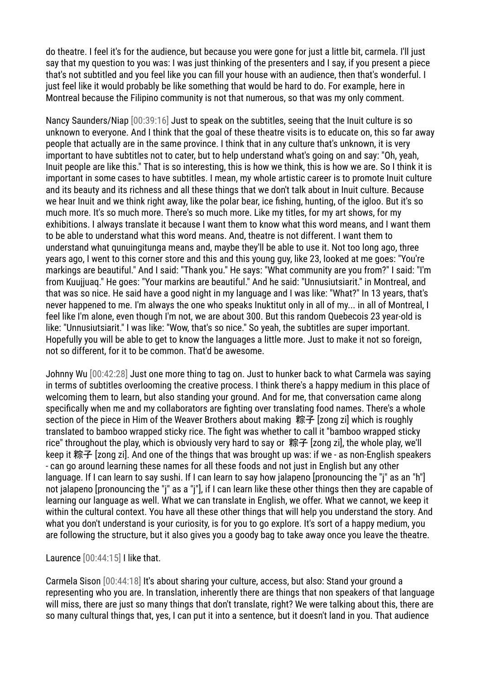do theatre. I feel it's for the audience, but because you were gone for just a little bit, carmela. I'll just say that my question to you was: I was just thinking of the presenters and I say, if you present a piece that's not subtitled and you feel like you can fill your house with an audience, then that's wonderful. I just feel like it would probably be like something that would be hard to do. For example, here in Montreal because the Filipino community is not that numerous, so that was my only comment.

Nancy Saunders/Niap [00:39:16] Just to speak on the subtitles, seeing that the Inuit culture is so unknown to everyone. And I think that the goal of these theatre visits is to educate on, this so far away people that actually are in the same province. I think that in any culture that's unknown, it is very important to have subtitles not to cater, but to help understand what's going on and say: "Oh, yeah, Inuit people are like this." That is so interesting, this is how we think, this is how we are. So I think it is important in some cases to have subtitles. I mean, my whole artistic career is to promote Inuit culture and its beauty and its richness and all these things that we don't talk about in Inuit culture. Because we hear Inuit and we think right away, like the polar bear, ice fishing, hunting, of the igloo. But it's so much more. It's so much more. There's so much more. Like my titles, for my art shows, for my exhibitions. I always translate it because I want them to know what this word means, and I want them to be able to understand what this word means. And, theatre is not different. I want them to understand what qunuingitunga means and, maybe they'll be able to use it. Not too long ago, three years ago, I went to this corner store and this and this young guy, like 23, looked at me goes: "You're markings are beautiful." And I said: "Thank you." He says: "What community are you from?" I said: "I'm from Kuujjuaq." He goes: "Your markins are beautiful." And he said: "Unnusiutsiarit." in Montreal, and that was so nice. He said have a good night in my language and I was like: "What?" In 13 years, that's never happened to me. I'm always the one who speaks Inuktitut only in all of my... in all of Montreal, I feel like I'm alone, even though I'm not, we are about 300. But this random Quebecois 23 year-old is like: "Unnusiutsiarit." I was like: "Wow, that's so nice." So yeah, the subtitles are super important. Hopefully you will be able to get to know the languages a little more. Just to make it not so foreign, not so different, for it to be common. That'd be awesome.

Johnny Wu [00:42:28] Just one more thing to tag on. Just to hunker back to what Carmela was saying in terms of subtitles overlooming the creative process. I think there's a happy medium in this place of welcoming them to learn, but also standing your ground. And for me, that conversation came along specifically when me and my collaborators are fighting over translating food names. There's a whole section of the piece in Him of the Weaver Brothers about making 粽子 [zong zi] which is roughly translated to bamboo wrapped sticky rice. The fight was whether to call it "bamboo wrapped sticky rice" throughout the play, which is obviously very hard to say or 粽子 [zong zi], the whole play, we'll keep it 粽子 [zong zi]. And one of the things that was brought up was: if we - as non-English speakers - can go around learning these names for all these foods and not just in English but any other language. If I can learn to say sushi. If I can learn to say how jalapeno [pronouncing the "j" as an "h"] not jalapeno [pronouncing the "j" as a "j"], if I can learn like these other things then they are capable of learning our language as well. What we can translate in English, we offer. What we cannot, we keep it within the cultural context. You have all these other things that will help you understand the story. And what you don't understand is your curiosity, is for you to go explore. It's sort of a happy medium, you are following the structure, but it also gives you a goody bag to take away once you leave the theatre.

Laurence [00:44:15] I like that.

Carmela Sison [00:44:18] It's about sharing your culture, access, but also: Stand your ground a representing who you are. In translation, inherently there are things that non speakers of that language will miss, there are just so many things that don't translate, right? We were talking about this, there are so many cultural things that, yes, I can put it into a sentence, but it doesn't land in you. That audience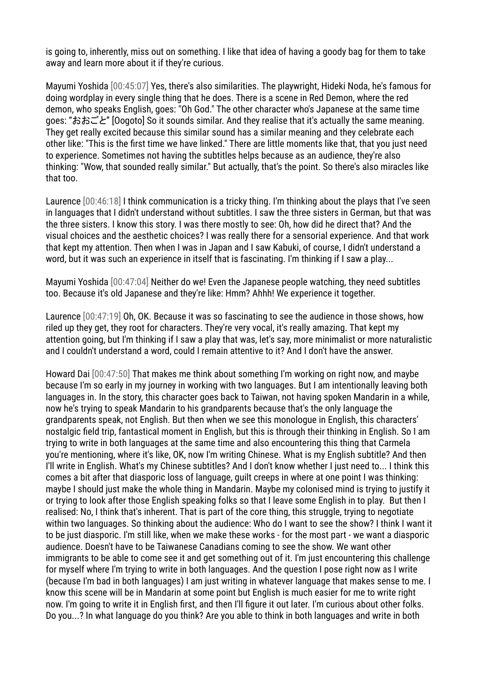is going to, inherently, miss out on something. I like that idea of having a goody bag for them to take away and learn more about it if they're curious.

Mayumi Yoshida [00:45:07] Yes, there's also similarities. The playwright, Hideki Noda, he's famous for doing wordplay in every single thing that he does. There is a scene in Red Demon, where the red demon, who speaks English, goes: "Oh God." The other character who's Japanese at the same time goes: "おおごと" [Oogoto] So it sounds similar. And they realise that it's actually the same meaning. They get really excited because this similar sound has a similar meaning and they celebrate each other like: "This is the first time we have linked." There are little moments like that, that you just need to experience. Sometimes not having the subtitles helps because as an audience, they're also thinking: "Wow, that sounded really similar." But actually, that's the point. So there's also miracles like that too.

Laurence [00:46:18] I think communication is a tricky thing. I'm thinking about the plays that I've seen in languages that I didn't understand without subtitles. I saw the three sisters in German, but that was the three sisters. I know this story. I was there mostly to see: Oh, how did he direct that? And the visual choices and the aesthetic choices? I was really there for a sensorial experience. And that work that kept my attention. Then when I was in Japan and I saw Kabuki, of course, I didn't understand a word, but it was such an experience in itself that is fascinating. I'm thinking if I saw a play...

Mayumi Yoshida [00:47:04] Neither do we! Even the Japanese people watching, they need subtitles too. Because it's old Japanese and they're like: Hmm? Ahhh! We experience it together.

Laurence [00:47:19] Oh, OK. Because it was so fascinating to see the audience in those shows, how riled up they get, they root for characters. They're very vocal, it's really amazing. That kept my attention going, but I'm thinking if I saw a play that was, let's say, more minimalist or more naturalistic and I couldn't understand a word, could I remain attentive to it? And I don't have the answer.

Howard Dai [00:47:50] That makes me think about something I'm working on right now, and maybe because I'm so early in my journey in working with two languages. But I am intentionally leaving both languages in. In the story, this character goes back to Taiwan, not having spoken Mandarin in a while, now he's trying to speak Mandarin to his grandparents because that's the only language the grandparents speak, not English. But then when we see this monologue in English, this characters' nostalgic field trip, fantastical moment in English, but this is through their thinking in English. So I am trying to write in both languages at the same time and also encountering this thing that Carmela you're mentioning, where it's like, OK, now I'm writing Chinese. What is my English subtitle? And then I'll write in English. What's my Chinese subtitles? And I don't know whether I just need to... I think this comes a bit after that diasporic loss of language, guilt creeps in where at one point I was thinking: maybe I should just make the whole thing in Mandarin. Maybe my colonised mind is trying to justify it or trying to look after those English speaking folks so that I leave some English in to play. But then I realised: No, I think that's inherent. That is part of the core thing, this struggle, trying to negotiate within two languages. So thinking about the audience: Who do I want to see the show? I think I want it to be just diasporic. I'm still like, when we make these works - for the most part - we want a diasporic audience. Doesn't have to be Taiwanese Canadians coming to see the show. We want other immigrants to be able to come see it and get something out of it. I'm just encountering this challenge for myself where I'm trying to write in both languages. And the question I pose right now as I write (because I'm bad in both languages) I am just writing in whatever language that makes sense to me. I know this scene will be in Mandarin at some point but English is much easier for me to write right now. I'm going to write it in English first, and then I'll figure it out later. I'm curious about other folks. Do you...? In what language do you think? Are you able to think in both languages and write in both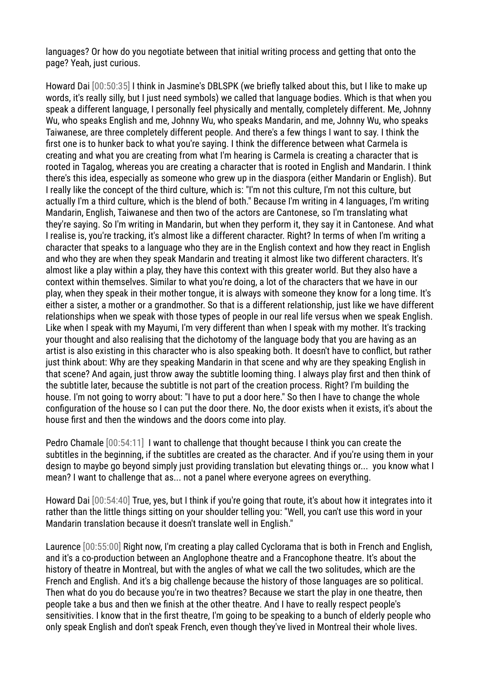languages? Or how do you negotiate between that initial writing process and getting that onto the page? Yeah, just curious.

Howard Dai [00:50:35] I think in Jasmine's DBLSPK (we briefly talked about this, but I like to make up words, it's really silly, but I just need symbols) we called that language bodies. Which is that when you speak a different language, I personally feel physically and mentally, completely different. Me, Johnny Wu, who speaks English and me, Johnny Wu, who speaks Mandarin, and me, Johnny Wu, who speaks Taiwanese, are three completely different people. And there's a few things I want to say. I think the first one is to hunker back to what you're saying. I think the difference between what Carmela is creating and what you are creating from what I'm hearing is Carmela is creating a character that is rooted in Tagalog, whereas you are creating a character that is rooted in English and Mandarin. I think there's this idea, especially as someone who grew up in the diaspora (either Mandarin or English). But I really like the concept of the third culture, which is: "I'm not this culture, I'm not this culture, but actually I'm a third culture, which is the blend of both." Because I'm writing in 4 languages, I'm writing Mandarin, English, Taiwanese and then two of the actors are Cantonese, so I'm translating what they're saying. So I'm writing in Mandarin, but when they perform it, they say it in Cantonese. And what I realise is, you're tracking, it's almost like a different character. Right? In terms of when I'm writing a character that speaks to a language who they are in the English context and how they react in English and who they are when they speak Mandarin and treating it almost like two different characters. It's almost like a play within a play, they have this context with this greater world. But they also have a context within themselves. Similar to what you're doing, a lot of the characters that we have in our play, when they speak in their mother tongue, it is always with someone they know for a long time. It's either a sister, a mother or a grandmother. So that is a different relationship, just like we have different relationships when we speak with those types of people in our real life versus when we speak English. Like when I speak with my Mayumi, I'm very different than when I speak with my mother. It's tracking your thought and also realising that the dichotomy of the language body that you are having as an artist is also existing in this character who is also speaking both. It doesn't have to conflict, but rather just think about: Why are they speaking Mandarin in that scene and why are they speaking English in that scene? And again, just throw away the subtitle looming thing. I always play first and then think of the subtitle later, because the subtitle is not part of the creation process. Right? I'm building the house. I'm not going to worry about: "I have to put a door here." So then I have to change the whole configuration of the house so I can put the door there. No, the door exists when it exists, it's about the house first and then the windows and the doors come into play.

Pedro Chamale [00:54:11] I want to challenge that thought because I think you can create the subtitles in the beginning, if the subtitles are created as the character. And if you're using them in your design to maybe go beyond simply just providing translation but elevating things or... you know what I mean? I want to challenge that as... not a panel where everyone agrees on everything.

Howard Dai [00:54:40] True, yes, but I think if you're going that route, it's about how it integrates into it rather than the little things sitting on your shoulder telling you: "Well, you can't use this word in your Mandarin translation because it doesn't translate well in English."

Laurence [00:55:00] Right now, I'm creating a play called Cyclorama that is both in French and English, and it's a co-production between an Anglophone theatre and a Francophone theatre. It's about the history of theatre in Montreal, but with the angles of what we call the two solitudes, which are the French and English. And it's a big challenge because the history of those languages are so political. Then what do you do because you're in two theatres? Because we start the play in one theatre, then people take a bus and then we finish at the other theatre. And I have to really respect people's sensitivities. I know that in the first theatre, I'm going to be speaking to a bunch of elderly people who only speak English and don't speak French, even though they've lived in Montreal their whole lives.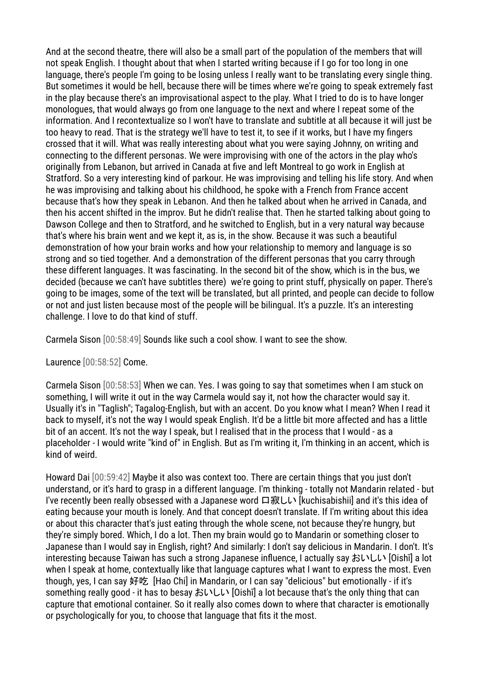And at the second theatre, there will also be a small part of the population of the members that will not speak English. I thought about that when I started writing because if I go for too long in one language, there's people I'm going to be losing unless I really want to be translating every single thing. But sometimes it would be hell, because there will be times where we're going to speak extremely fast in the play because there's an improvisational aspect to the play. What I tried to do is to have longer monologues, that would always go from one language to the next and where I repeat some of the information. And I recontextualize so I won't have to translate and subtitle at all because it will just be too heavy to read. That is the strategy we'll have to test it, to see if it works, but I have my fingers crossed that it will. What was really interesting about what you were saying Johnny, on writing and connecting to the different personas. We were improvising with one of the actors in the play who's originally from Lebanon, but arrived in Canada at five and left Montreal to go work in English at Stratford. So a very interesting kind of parkour. He was improvising and telling his life story. And when he was improvising and talking about his childhood, he spoke with a French from France accent because that's how they speak in Lebanon. And then he talked about when he arrived in Canada, and then his accent shifted in the improv. But he didn't realise that. Then he started talking about going to Dawson College and then to Stratford, and he switched to English, but in a very natural way because that's where his brain went and we kept it, as is, in the show. Because it was such a beautiful demonstration of how your brain works and how your relationship to memory and language is so strong and so tied together. And a demonstration of the different personas that you carry through these different languages. It was fascinating. In the second bit of the show, which is in the bus, we decided (because we can't have subtitles there) we're going to print stuff, physically on paper. There's going to be images, some of the text will be translated, but all printed, and people can decide to follow or not and just listen because most of the people will be bilingual. It's a puzzle. It's an interesting challenge. I love to do that kind of stuff.

Carmela Sison [00:58:49] Sounds like such a cool show. I want to see the show.

Laurence [00:58:52] Come.

Carmela Sison [00:58:53] When we can. Yes. I was going to say that sometimes when I am stuck on something, I will write it out in the way Carmela would say it, not how the character would say it. Usually it's in "Taglish"; Tagalog-English, but with an accent. Do you know what I mean? When I read it back to myself, it's not the way I would speak English. It'd be a little bit more affected and has a little bit of an accent. It's not the way I speak, but I realised that in the process that I would - as a placeholder - I would write "kind of" in English. But as I'm writing it, I'm thinking in an accent, which is kind of weird.

Howard Dai [00:59:42] Maybe it also was context too. There are certain things that you just don't understand, or it's hard to grasp in a different language. I'm thinking - totally not Mandarin related - but I've recently been really obsessed with a Japanese word 口寂しい [kuchisabishii] and it's this idea of eating because your mouth is lonely. And that concept doesn't translate. If I'm writing about this idea or about this character that's just eating through the whole scene, not because they're hungry, but they're simply bored. Which, I do a lot. Then my brain would go to Mandarin or something closer to Japanese than I would say in English, right? And similarly: I don't say delicious in Mandarin. I don't. It's interesting because Taiwan has such a strong Japanese influence, I actually say おいしい [Oishī] a lot when I speak at home, contextually like that language captures what I want to express the most. Even though, yes, I can say 好吃 [Hao Chi] in Mandarin, or I can say "delicious" but emotionally - if it's something really good - it has to besay おいしい [Oishī] a lot because that's the only thing that can capture that emotional container. So it really also comes down to where that character is emotionally or psychologically for you, to choose that language that fits it the most.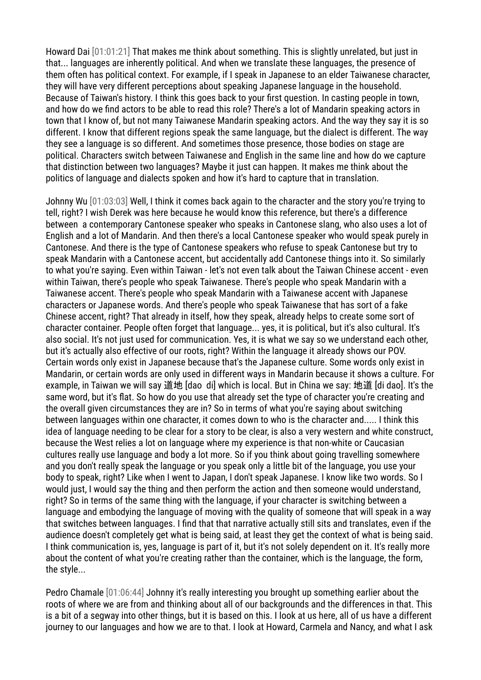Howard Dai [01:01:21] That makes me think about something. This is slightly unrelated, but just in that... languages are inherently political. And when we translate these languages, the presence of them often has political context. For example, if I speak in Japanese to an elder Taiwanese character, they will have very different perceptions about speaking Japanese language in the household. Because of Taiwan's history. I think this goes back to your first question. In casting people in town, and how do we find actors to be able to read this role? There's a lot of Mandarin speaking actors in town that I know of, but not many Taiwanese Mandarin speaking actors. And the way they say it is so different. I know that different regions speak the same language, but the dialect is different. The way they see a language is so different. And sometimes those presence, those bodies on stage are political. Characters switch between Taiwanese and English in the same line and how do we capture that distinction between two languages? Maybe it just can happen. It makes me think about the politics of language and dialects spoken and how it's hard to capture that in translation.

Johnny Wu [01:03:03] Well, I think it comes back again to the character and the story you're trying to tell, right? I wish Derek was here because he would know this reference, but there's a difference between a contemporary Cantonese speaker who speaks in Cantonese slang, who also uses a lot of English and a lot of Mandarin. And then there's a local Cantonese speaker who would speak purely in Cantonese. And there is the type of Cantonese speakers who refuse to speak Cantonese but try to speak Mandarin with a Cantonese accent, but accidentally add Cantonese things into it. So similarly to what you're saying. Even within Taiwan - let's not even talk about the Taiwan Chinese accent - even within Taiwan, there's people who speak Taiwanese. There's people who speak Mandarin with a Taiwanese accent. There's people who speak Mandarin with a Taiwanese accent with Japanese characters or Japanese words. And there's people who speak Taiwanese that has sort of a fake Chinese accent, right? That already in itself, how they speak, already helps to create some sort of character container. People often forget that language... yes, it is political, but it's also cultural. It's also social. It's not just used for communication. Yes, it is what we say so we understand each other, but it's actually also effective of our roots, right? Within the language it already shows our POV. Certain words only exist in Japanese because that's the Japanese culture. Some words only exist in Mandarin, or certain words are only used in different ways in Mandarin because it shows a culture. For example, in Taiwan we will say 道地 [dao di] which is local. But in China we say: 地道 [di dao]. It's the same word, but it's flat. So how do you use that already set the type of character you're creating and the overall given circumstances they are in? So in terms of what you're saying about switching between languages within one character, it comes down to who is the character and..... I think this idea of language needing to be clear for a story to be clear, is also a very western and white construct, because the West relies a lot on language where my experience is that non-white or Caucasian cultures really use language and body a lot more. So if you think about going travelling somewhere and you don't really speak the language or you speak only a little bit of the language, you use your body to speak, right? Like when I went to Japan, I don't speak Japanese. I know like two words. So I would just, I would say the thing and then perform the action and then someone would understand, right? So in terms of the same thing with the language, if your character is switching between a language and embodying the language of moving with the quality of someone that will speak in a way that switches between languages. I find that that narrative actually still sits and translates, even if the audience doesn't completely get what is being said, at least they get the context of what is being said. I think communication is, yes, language is part of it, but it's not solely dependent on it. It's really more about the content of what you're creating rather than the container, which is the language, the form, the style...

Pedro Chamale [01:06:44] Johnny it's really interesting you brought up something earlier about the roots of where we are from and thinking about all of our backgrounds and the differences in that. This is a bit of a segway into other things, but it is based on this. I look at us here, all of us have a different journey to our languages and how we are to that. I look at Howard, Carmela and Nancy, and what I ask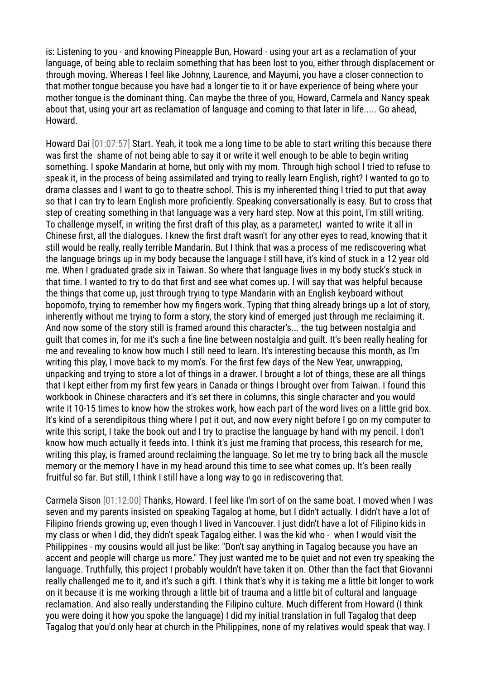is: Listening to you - and knowing Pineapple Bun, Howard - using your art as a reclamation of your language, of being able to reclaim something that has been lost to you, either through displacement or through moving. Whereas I feel like Johnny, Laurence, and Mayumi, you have a closer connection to that mother tongue because you have had a longer tie to it or have experience of being where your mother tongue is the dominant thing. Can maybe the three of you, Howard, Carmela and Nancy speak about that, using your art as reclamation of language and coming to that later in life..... Go ahead, Howard.

Howard Dai [01:07:57] Start. Yeah, it took me a long time to be able to start writing this because there was first the shame of not being able to say it or write it well enough to be able to begin writing something. I spoke Mandarin at home, but only with my mom. Through high school I tried to refuse to speak it, in the process of being assimilated and trying to really learn English, right? I wanted to go to drama classes and I want to go to theatre school. This is my inherented thing I tried to put that away so that I can try to learn English more proficiently. Speaking conversationally is easy. But to cross that step of creating something in that language was a very hard step. Now at this point, I'm still writing. To challenge myself, in writing the first draft of this play, as a parameter,I wanted to write it all in Chinese first, all the dialogues. I knew the first draft wasn't for any other eyes to read, knowing that it still would be really, really terrible Mandarin. But I think that was a process of me rediscovering what the language brings up in my body because the language I still have, it's kind of stuck in a 12 year old me. When I graduated grade six in Taiwan. So where that language lives in my body stuck's stuck in that time. I wanted to try to do that first and see what comes up. I will say that was helpful because the things that come up, just through trying to type Mandarin with an English keyboard without bopomofo, trying to remember how my fingers work. Typing that thing already brings up a lot of story, inherently without me trying to form a story, the story kind of emerged just through me reclaiming it. And now some of the story still is framed around this character's... the tug between nostalgia and guilt that comes in, for me it's such a fine line between nostalgia and guilt. It's been really healing for me and revealing to know how much I still need to learn. It's interesting because this month, as I'm writing this play, I move back to my mom's. For the first few days of the New Year, unwrapping, unpacking and trying to store a lot of things in a drawer. I brought a lot of things, these are all things that I kept either from my first few years in Canada or things I brought over from Taiwan. I found this workbook in Chinese characters and it's set there in columns, this single character and you would write it 10-15 times to know how the strokes work, how each part of the word lives on a little grid box. It's kind of a serendipitous thing where I put it out, and now every night before I go on my computer to write this script, I take the book out and I try to practise the language by hand with my pencil. I don't know how much actually it feeds into. I think it's just me framing that process, this research for me, writing this play, is framed around reclaiming the language. So let me try to bring back all the muscle memory or the memory I have in my head around this time to see what comes up. It's been really fruitful so far. But still, I think I still have a long way to go in rediscovering that.

Carmela Sison [01:12:00] Thanks, Howard. I feel like I'm sort of on the same boat. I moved when I was seven and my parents insisted on speaking Tagalog at home, but I didn't actually. I didn't have a lot of Filipino friends growing up, even though I lived in Vancouver. I just didn't have a lot of Filipino kids in my class or when I did, they didn't speak Tagalog either. I was the kid who - when I would visit the Philippines - my cousins would all just be like: "Don't say anything in Tagalog because you have an accent and people will charge us more." They just wanted me to be quiet and not even try speaking the language. Truthfully, this project I probably wouldn't have taken it on. Other than the fact that Giovanni really challenged me to it, and it's such a gift. I think that's why it is taking me a little bit longer to work on it because it is me working through a little bit of trauma and a little bit of cultural and language reclamation. And also really understanding the Filipino culture. Much different from Howard (I think you were doing it how you spoke the language) I did my initial translation in full Tagalog that deep Tagalog that you'd only hear at church in the Philippines, none of my relatives would speak that way. I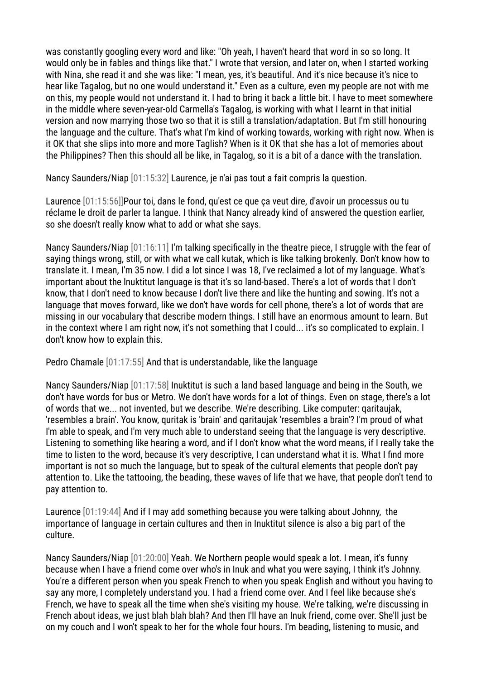was constantly googling every word and like: "Oh yeah, I haven't heard that word in so so long. It would only be in fables and things like that." I wrote that version, and later on, when I started working with Nina, she read it and she was like: "I mean, yes, it's beautiful. And it's nice because it's nice to hear like Tagalog, but no one would understand it." Even as a culture, even my people are not with me on this, my people would not understand it. I had to bring it back a little bit. I have to meet somewhere in the middle where seven-year-old Carmella's Tagalog, is working with what I learnt in that initial version and now marrying those two so that it is still a translation/adaptation. But I'm still honouring the language and the culture. That's what I'm kind of working towards, working with right now. When is it OK that she slips into more and more Taglish? When is it OK that she has a lot of memories about the Philippines? Then this should all be like, in Tagalog, so it is a bit of a dance with the translation.

Nancy Saunders/Niap [01:15:32] Laurence, je n'ai pas tout a fait compris la question.

Laurence [01:15:56]]Pour toi, dans le fond, qu'est ce que ça veut dire, d'avoir un processus ou tu réclame le droit de parler ta langue. I think that Nancy already kind of answered the question earlier, so she doesn't really know what to add or what she says.

Nancy Saunders/Niap [01:16:11] I'm talking specifically in the theatre piece, I struggle with the fear of saying things wrong, still, or with what we call kutak, which is like talking brokenly. Don't know how to translate it. I mean, I'm 35 now. I did a lot since I was 18, I've reclaimed a lot of my language. What's important about the lnuktitut language is that it's so land-based. There's a lot of words that I don't know, that I don't need to know because I don't live there and like the hunting and sowing. It's not a language that moves forward, like we don't have words for cell phone, there's a lot of words that are missing in our vocabulary that describe modern things. I still have an enormous amount to learn. But in the context where I am right now, it's not something that I could... it's so complicated to explain. I don't know how to explain this.

Pedro Chamale [01:17:55] And that is understandable, like the language

Nancy Saunders/Niap [01:17:58] Inuktitut is such a land based language and being in the South, we don't have words for bus or Metro. We don't have words for a lot of things. Even on stage, there's a lot of words that we... not invented, but we describe. We're describing. Like computer: qaritaujak, 'resembles a brain'. You know, quritak is 'brain' and qaritaujak 'resembles a brain'? I'm proud of what I'm able to speak, and I'm very much able to understand seeing that the language is very descriptive. Listening to something like hearing a word, and if I don't know what the word means, if I really take the time to listen to the word, because it's very descriptive, I can understand what it is. What I find more important is not so much the language, but to speak of the cultural elements that people don't pay attention to. Like the tattooing, the beading, these waves of life that we have, that people don't tend to pay attention to.

Laurence [01:19:44] And if I may add something because you were talking about Johnny, the importance of language in certain cultures and then in Inuktitut silence is also a big part of the culture.

Nancy Saunders/Niap [01:20:00] Yeah. We Northern people would speak a lot. I mean, it's funny because when I have a friend come over who's in Inuk and what you were saying, I think it's Johnny. You're a different person when you speak French to when you speak English and without you having to say any more, I completely understand you. I had a friend come over. And I feel like because she's French, we have to speak all the time when she's visiting my house. We're talking, we're discussing in French about ideas, we just blah blah blah? And then I'll have an Inuk friend, come over. She'll just be on my couch and I won't speak to her for the whole four hours. I'm beading, listening to music, and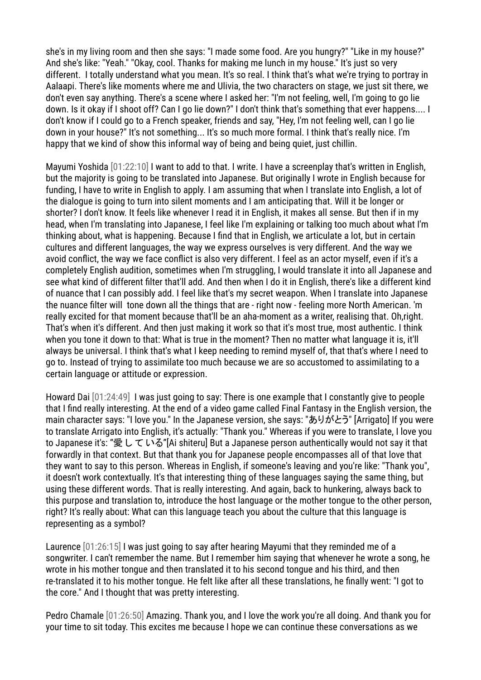she's in my living room and then she says: "I made some food. Are you hungry?" "Like in my house?" And she's like: "Yeah." "Okay, cool. Thanks for making me lunch in my house." It's just so very different. I totally understand what you mean. It's so real. I think that's what we're trying to portray in Aalaapi. There's like moments where me and Ulivia, the two characters on stage, we just sit there, we don't even say anything. There's a scene where I asked her: "I'm not feeling, well, I'm going to go lie down. Is it okay if I shoot off? Can I go lie down?" I don't think that's something that ever happens.... I don't know if I could go to a French speaker, friends and say, "Hey, I'm not feeling well, can I go lie down in your house?" It's not something... It's so much more formal. I think that's really nice. I'm happy that we kind of show this informal way of being and being quiet, just chillin.

Mayumi Yoshida [01:22:10] I want to add to that. I write. I have a screenplay that's written in English, but the majority is going to be translated into Japanese. But originally I wrote in English because for funding, I have to write in English to apply. I am assuming that when I translate into English, a lot of the dialogue is going to turn into silent moments and I am anticipating that. Will it be longer or shorter? I don't know. It feels like whenever I read it in English, it makes all sense. But then if in my head, when I'm translating into Japanese, I feel like I'm explaining or talking too much about what I'm thinking about, what is happening. Because I find that in English, we articulate a lot, but in certain cultures and different languages, the way we express ourselves is very different. And the way we avoid conflict, the way we face conflict is also very different. I feel as an actor myself, even if it's a completely English audition, sometimes when I'm struggling, I would translate it into all Japanese and see what kind of different filter that'll add. And then when I do it in English, there's like a different kind of nuance that I can possibly add. I feel like that's my secret weapon. When I translate into Japanese the nuance filter will tone down all the things that are - right now - feeling more North American. 'm really excited for that moment because that'll be an aha-moment as a writer, realising that. Oh,right. That's when it's different. And then just making it work so that it's most true, most authentic. I think when you tone it down to that: What is true in the moment? Then no matter what language it is, it'll always be universal. I think that's what I keep needing to remind myself of, that that's where I need to go to. Instead of trying to assimilate too much because we are so accustomed to assimilating to a certain language or attitude or expression.

Howard Dai [01:24:49] I was just going to say: There is one example that I constantly give to people that I find really interesting. At the end of a video game called Final Fantasy in the English version, the main character says: "I love you." In the Japanese version, she says: "ありがとう" [Arrigato] If you were to translate Arrigato into English, it's actually: "Thank you." Whereas if you were to translate, I love you to Japanese it's: "愛 し て いる"[Ai shiteru] But a Japanese person authentically would not say it that forwardly in that context. But that thank you for Japanese people encompasses all of that love that they want to say to this person. Whereas in English, if someone's leaving and you're like: "Thank you", it doesn't work contextually. It's that interesting thing of these languages saying the same thing, but using these different words. That is really interesting. And again, back to hunkering, always back to this purpose and translation to, introduce the host language or the mother tongue to the other person, right? It's really about: What can this language teach you about the culture that this language is representing as a symbol?

Laurence [01:26:15] I was just going to say after hearing Mayumi that they reminded me of a songwriter. I can't remember the name. But I remember him saying that whenever he wrote a song, he wrote in his mother tongue and then translated it to his second tongue and his third, and then re-translated it to his mother tongue. He felt like after all these translations, he finally went: "I got to the core." And I thought that was pretty interesting.

Pedro Chamale [01:26:50] Amazing. Thank you, and I love the work you're all doing. And thank you for your time to sit today. This excites me because I hope we can continue these conversations as we